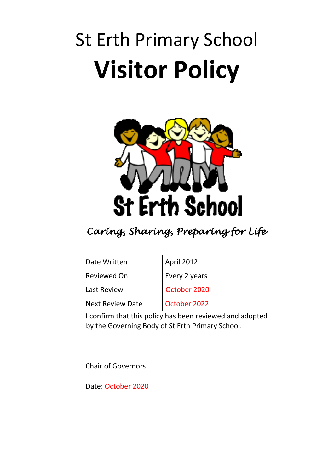## St Erth Primary School **Visitor Policy**



## *Caring, Sharing, Preparing for Life*

| Date Written                                                                                                 | <b>April 2012</b> |
|--------------------------------------------------------------------------------------------------------------|-------------------|
| Reviewed On                                                                                                  | Every 2 years     |
| <b>Last Review</b>                                                                                           | October 2020      |
| <b>Next Review Date</b>                                                                                      | October 2022      |
| I confirm that this policy has been reviewed and adopted<br>by the Governing Body of St Erth Primary School. |                   |
| <b>Chair of Governors</b>                                                                                    |                   |
| Date: October 2020                                                                                           |                   |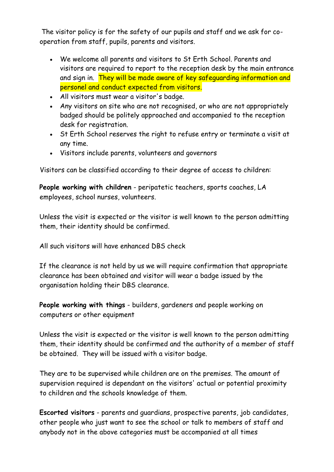The visitor policy is for the safety of our pupils and staff and we ask for cooperation from staff, pupils, parents and visitors.

- We welcome all parents and visitors to St Erth School. Parents and visitors are required to report to the reception desk by the main entrance and sign in. They will be made aware of key safeguarding information and personel and conduct expected from visitors.
- All visitors must wear a visitor's badge.
- Any visitors on site who are not recognised, or who are not appropriately badged should be politely approached and accompanied to the reception desk for registration.
- St Erth School reserves the right to refuse entry or terminate a visit at any time.
- Visitors include parents, volunteers and governors

Visitors can be classified according to their degree of access to children:

**People working with children** - peripatetic teachers, sports coaches, LA employees, school nurses, volunteers.

Unless the visit is expected or the visitor is well known to the person admitting them, their identity should be confirmed.

All such visitors will have enhanced DBS check

If the clearance is not held by us we will require confirmation that appropriate clearance has been obtained and visitor will wear a badge issued by the organisation holding their DBS clearance.

**People working with things** - builders, gardeners and people working on computers or other equipment

Unless the visit is expected or the visitor is well known to the person admitting them, their identity should be confirmed and the authority of a member of staff be obtained. They will be issued with a visitor badge.

They are to be supervised while children are on the premises. The amount of supervision required is dependant on the visitors' actual or potential proximity to children and the schools knowledge of them.

**Escorted visitors** - parents and guardians, prospective parents, job candidates, other people who just want to see the school or talk to members of staff and anybody not in the above categories must be accompanied at all times